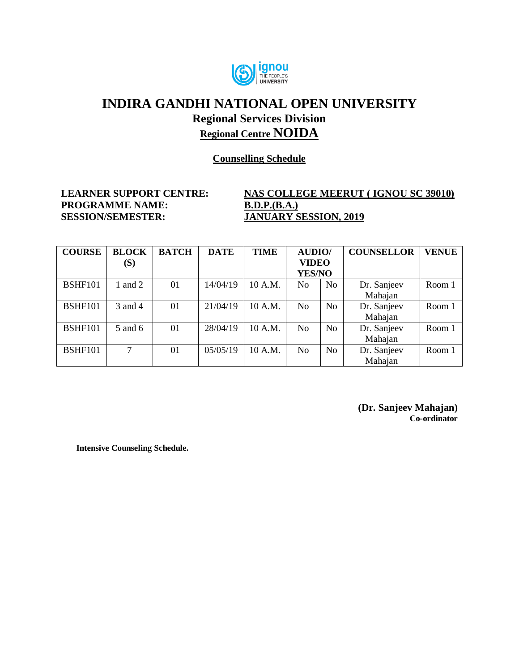

**Counselling Schedule**

**PROGRAMME NAME: B.D.P.(B.A.) SESSION/SEMESTER: JANUARY SESSION, 2019**

**LEARNER SUPPORT CENTRE: NAS COLLEGE MEERUT ( IGNOU SC 39010)**

| <b>COURSE</b>  | <b>BLOCK</b> | <b>BATCH</b> | <b>DATE</b> | <b>TIME</b> | <b>AUDIO</b> / |                | <b>COUNSELLOR</b> | <b>VENUE</b> |
|----------------|--------------|--------------|-------------|-------------|----------------|----------------|-------------------|--------------|
|                | (S)          |              |             |             | <b>VIDEO</b>   |                |                   |              |
|                |              |              |             |             | YES/NO         |                |                   |              |
| <b>BSHF101</b> | 1 and 2      | 01           | 14/04/19    | 10 A.M.     | No             | N <sub>o</sub> | Dr. Sanjeev       | Room 1       |
|                |              |              |             |             |                |                | Mahajan           |              |
| <b>BSHF101</b> | 3 and 4      | 01           | 21/04/19    | 10 A.M.     | No             | N <sub>o</sub> | Dr. Sanjeev       | Room 1       |
|                |              |              |             |             |                |                | Mahajan           |              |
| <b>BSHF101</b> | 5 and 6      | 01           | 28/04/19    | 10 A.M.     | N <sub>o</sub> | N <sub>o</sub> | Dr. Sanjeev       | Room 1       |
|                |              |              |             |             |                |                | Mahajan           |              |
| <b>BSHF101</b> | 7            | 01           | 05/05/19    | 10 A.M.     | No             | N <sub>o</sub> | Dr. Sanjeev       | Room 1       |
|                |              |              |             |             |                |                | Mahajan           |              |

**(Dr. Sanjeev Mahajan) Co-ordinator**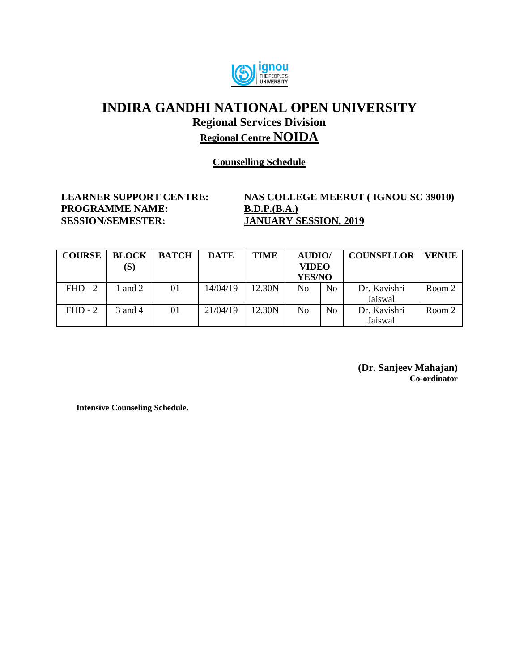

**Counselling Schedule**

**PROGRAMME NAME: B.D.P.(B.A.) SESSION/SEMESTER: JANUARY SESSION, 2019**

# **LEARNER SUPPORT CENTRE: NAS COLLEGE MEERUT ( IGNOU SC 39010)**

| <b>COURSE</b> | <b>BLOCK</b><br>(S) | <b>BATCH</b> | <b>DATE</b> | <b>TIME</b> | <b>AUDIO</b> /<br><b>VIDEO</b> |                | <b>COUNSELLOR</b> | <b>VENUE</b> |
|---------------|---------------------|--------------|-------------|-------------|--------------------------------|----------------|-------------------|--------------|
|               |                     |              |             |             | <b>YES/NO</b>                  |                |                   |              |
| $FHD - 2$     | and 2               | 01           | 14/04/19    | 12.30N      | No.                            | No             | Dr. Kavishri      | Room 2       |
|               |                     |              |             |             |                                |                | Jaiswal           |              |
| $FHD - 2$     | 3 and 4             | 01           | 21/04/19    | 12.30N      | No.                            | N <sub>0</sub> | Dr. Kavishri      | Room 2       |
|               |                     |              |             |             |                                |                | Jaiswal           |              |

**(Dr. Sanjeev Mahajan) Co-ordinator**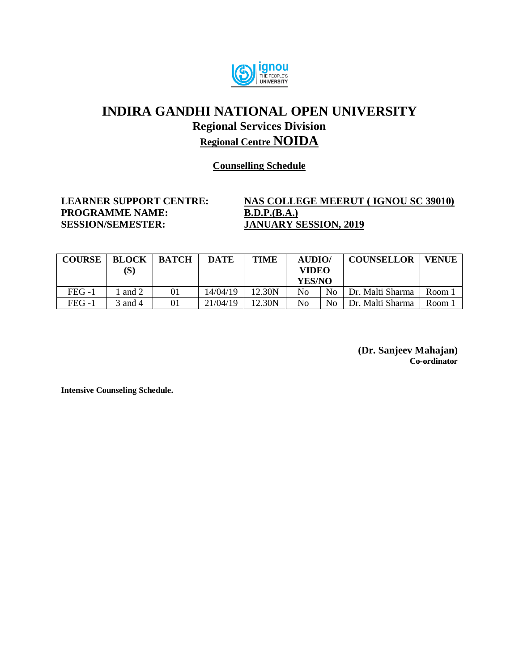

**Counselling Schedule**

**PROGRAMME NAME: B.D.P.(B.A.)**<br>**SESSION/SEMESTER: JANUARY S** 

# **LEARNER SUPPORT CENTRE: NAS COLLEGE MEERUT ( IGNOU SC 39010) JANUARY SESSION, 2019**

| <b>COURSE</b> | <b>BLOCK</b><br>$(\mathbf{S})$ | <b>BATCH</b> | <b>DATE</b> | <b>TIME</b> | <b>AUDIO</b> /<br>VIDEO<br>YES/NO |                | <b>COUNSELLOR</b> | <b>VENUE</b> |
|---------------|--------------------------------|--------------|-------------|-------------|-----------------------------------|----------------|-------------------|--------------|
| $FEG-1$       | and 2                          | 01           | 14/04/19    | 12.30N      | No                                | No             | Dr. Malti Sharma  | Room,        |
| FEG -1        | 3 and 4                        | 01           | 21/04/19    | 12.30N      | No                                | N <sub>0</sub> | Dr. Malti Sharma  | Room         |

**(Dr. Sanjeev Mahajan) Co-ordinator**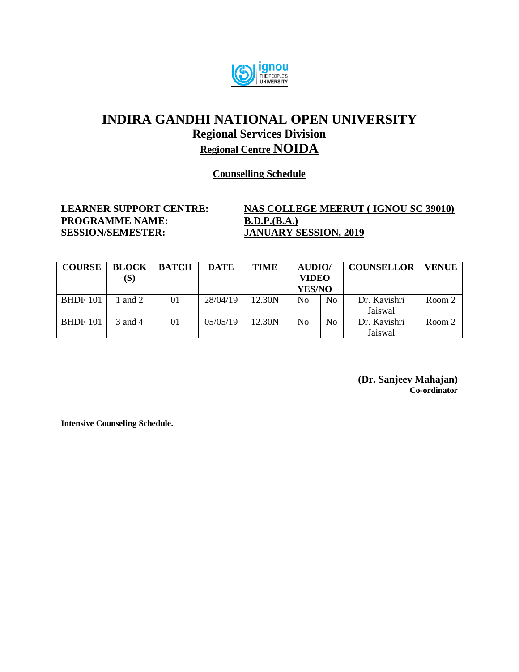

#### **Counselling Schedule**

**PROGRAMME NAME: B.D.P.(B.A.) SESSION/SEMESTER: JANUARY SESSION, 2019**

**LEARNER SUPPORT CENTRE: NAS COLLEGE MEERUT ( IGNOU SC 39010)**

| <b>COURSE</b>   | <b>BLOCK</b><br>$(\mathbf{S})$ | <b>BATCH</b> | <b>DATE</b> | <b>TIME</b> | <b>AUDIO</b> /<br><b>VIDEO</b> |                | <b>COUNSELLOR</b> | <b>VENUE</b> |
|-----------------|--------------------------------|--------------|-------------|-------------|--------------------------------|----------------|-------------------|--------------|
|                 |                                |              |             |             | <b>YES/NO</b>                  |                |                   |              |
| <b>BHDF</b> 101 | 1 and 2                        | 01           | 28/04/19    | 12.30N      | No                             | N <sub>o</sub> | Dr. Kavishri      | Room 2       |
|                 |                                |              |             |             |                                |                | Jaiswal           |              |
| <b>BHDF</b> 101 | 3 and 4                        | 01           | 05/05/19    | 12.30N      | No                             | N <sub>0</sub> | Dr. Kavishri      | Room 2       |
|                 |                                |              |             |             |                                |                | Jaiswal           |              |

**(Dr. Sanjeev Mahajan) Co-ordinator**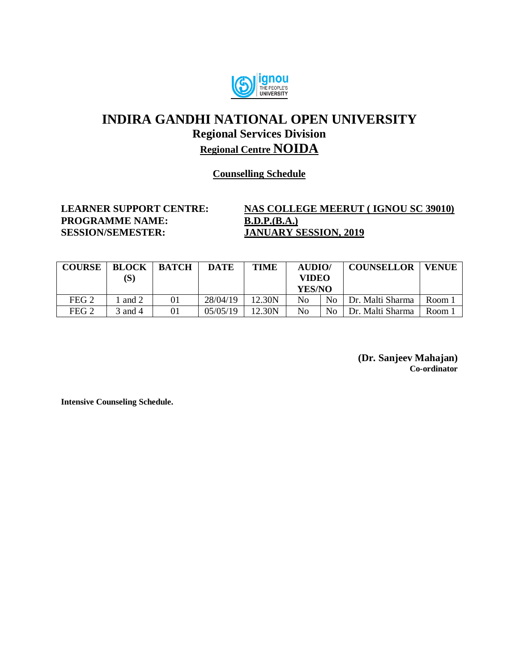

#### **Counselling Schedule**

**PROGRAMME NAME: B.D.P.(B.A.) SESSION/SEMESTER: JANUARY SESSION, 2019**

**LEARNER SUPPORT CENTRE: NAS COLLEGE MEERUT ( IGNOU SC 39010)**

| <b>COURSE</b>    | <b>BLOCK</b><br>$(\mathbf{S})$ | <b>BATCH</b> | <b>DATE</b> | <b>TIME</b> | AUDIO/<br><b>VIDEO</b><br>YES/NO |    | <b>COUNSELLOR</b> | <b>VENUE</b> |
|------------------|--------------------------------|--------------|-------------|-------------|----------------------------------|----|-------------------|--------------|
| FEG <sub>2</sub> | and 2                          | 01           | 28/04/19    | 12.30N      | No                               | No | Dr. Malti Sharma  | Room 1       |
| FEG <sub>2</sub> | 3 and 4                        | 01           | 05/05/19    | 12.30N      | No                               | No | Dr. Malti Sharma  | Room 1       |

**(Dr. Sanjeev Mahajan) Co-ordinator**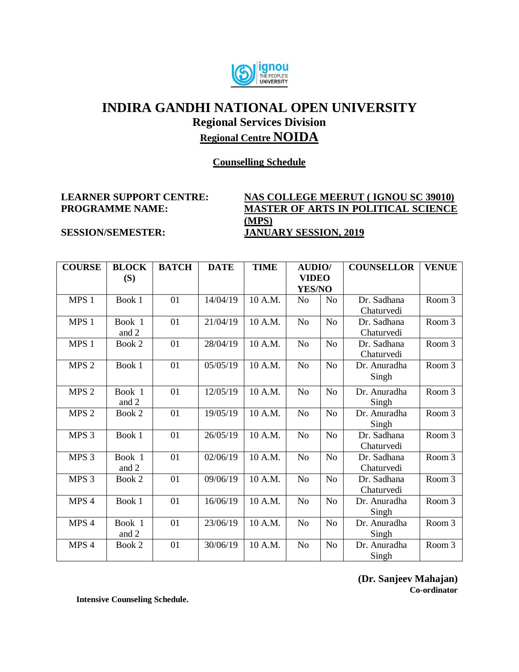

#### **Counselling Schedule**

#### **LEARNER SUPPORT CENTRE: NAS COLLEGE MEERUT ( IGNOU SC 39010) PROGRAMME NAME: MASTER OF ARTS IN POLITICAL SCIENCE (MPS) SESSION/SEMESTER: JANUARY SESSION, 2019**

| <b>COURSE</b>    | <b>BLOCK</b> | <b>BATCH</b> | <b>DATE</b> | <b>TIME</b> | <b>AUDIO/</b>  |                | <b>COUNSELLOR</b> | <b>VENUE</b>      |
|------------------|--------------|--------------|-------------|-------------|----------------|----------------|-------------------|-------------------|
|                  | (S)          |              |             |             | <b>VIDEO</b>   |                |                   |                   |
|                  |              |              |             |             | <b>YES/NO</b>  |                |                   |                   |
| MPS <sub>1</sub> | Book 1       | 01           | 14/04/19    | 10 A.M.     | N <sub>0</sub> | N <sub>0</sub> | Dr. Sadhana       | Room <sub>3</sub> |
|                  |              |              |             |             |                |                | Chaturvedi        |                   |
| MPS 1            | Book 1       | 01           | 21/04/19    | 10 A.M.     | N <sub>o</sub> | N <sub>o</sub> | Dr. Sadhana       | Room 3            |
|                  | and 2        |              |             |             |                |                | Chaturvedi        |                   |
| MPS 1            | Book 2       | 01           | 28/04/19    | 10 A.M.     | N <sub>o</sub> | No             | Dr. Sadhana       | Room 3            |
|                  |              |              |             |             |                |                | Chaturvedi        |                   |
| MPS <sub>2</sub> | Book 1       | 01           | 05/05/19    | 10 A.M.     | N <sub>o</sub> | N <sub>o</sub> | Dr. Anuradha      | Room 3            |
|                  |              |              |             |             |                |                | Singh             |                   |
| MPS <sub>2</sub> | Book 1       | 01           | 12/05/19    | 10 A.M.     | No             | No             | Dr. Anuradha      | Room 3            |
|                  | and 2        |              |             |             |                |                | Singh             |                   |
| MPS <sub>2</sub> | Book 2       | 01           | 19/05/19    | 10 A.M.     | N <sub>o</sub> | No             | Dr. Anuradha      | Room 3            |
|                  |              |              |             |             |                |                | Singh             |                   |
| MPS <sub>3</sub> | Book 1       | 01           | 26/05/19    | 10 A.M.     | N <sub>0</sub> | No             | Dr. Sadhana       | Room 3            |
|                  |              |              |             |             |                |                | Chaturvedi        |                   |
| MPS <sub>3</sub> | Book 1       | 01           | 02/06/19    | 10 A.M.     | N <sub>o</sub> | No             | Dr. Sadhana       | Room 3            |
|                  | and 2        |              |             |             |                |                | Chaturvedi        |                   |
| MPS <sub>3</sub> | Book 2       | 01           | 09/06/19    | 10 A.M.     | N <sub>o</sub> | N <sub>o</sub> | Dr. Sadhana       | Room 3            |
|                  |              |              |             |             |                |                | Chaturvedi        |                   |
| MPS 4            | Book 1       | 01           | 16/06/19    | 10 A.M.     | N <sub>o</sub> | N <sub>o</sub> | Dr. Anuradha      | Room 3            |
|                  |              |              |             |             |                |                | Singh             |                   |
| MPS 4            | Book 1       | 01           | 23/06/19    | 10 A.M.     | N <sub>o</sub> | N <sub>o</sub> | Dr. Anuradha      | Room 3            |
|                  | and 2        |              |             |             |                |                | Singh             |                   |
| MPS 4            | Book 2       | 01           | 30/06/19    | 10 A.M.     | N <sub>o</sub> | N <sub>o</sub> | Dr. Anuradha      | Room 3            |
|                  |              |              |             |             |                |                | Singh             |                   |

**(Dr. Sanjeev Mahajan) Co-ordinator**